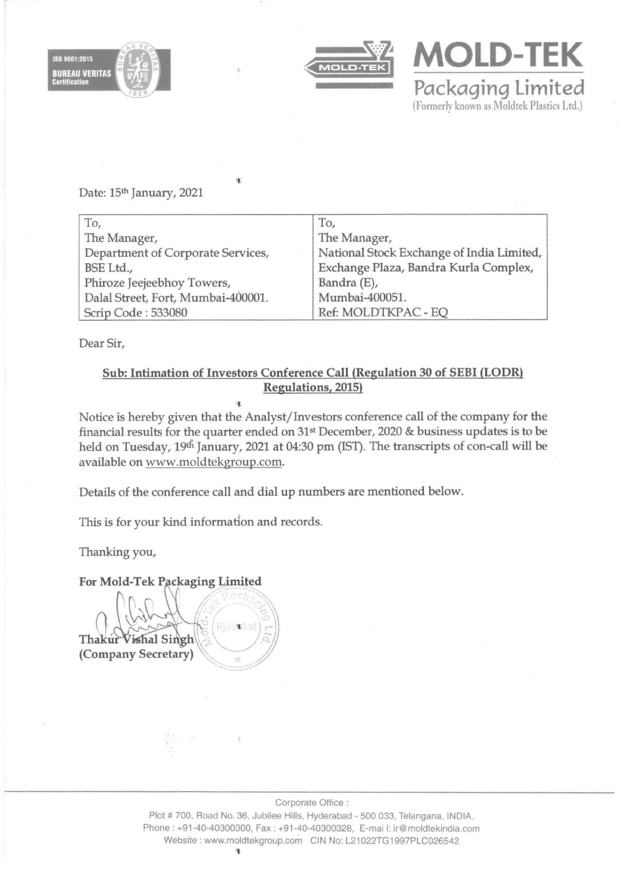



**MOLD-TEK Packaging limited**  (Formerly known as Moldtek Plastics Ltd.)

Date: 15th January, 2021

| To,                                | To,                                       |
|------------------------------------|-------------------------------------------|
| The Manager,                       | The Manager,                              |
| Department of Corporate Services,  | National Stock Exchange of India Limited, |
| BSE Ltd.,                          | Exchange Plaza, Bandra Kurla Complex,     |
| Phiroze Jeejeebhoy Towers,         | Bandra (E),                               |
| Dalal Street, Fort, Mumbai-400001. | Mumbai-400051.                            |
| Scrip Code: 533080                 | Ref: MOLDTKPAC - EQ                       |

'J

Dear Sir,

## Sub: Intimation of Investors Conference Call (Regulation 30 of SEBI (LODR) Regulations, 2015) ,

Notice is hereby given that the Analyst/Investors conference call of the company for the financial results for the quarter ended on  $31st$  December, 2020 & business updates is to be held on Tuesday, 19th January, 2021 at 04:30 pm (IST). The transcripts of con-call will be available on www.moldtekgroup.com.

Details of the conference call and dial up numbers are mentioned below.

This is for your kind information and records.

Thanking you,

## For Mold-Tek Packaging Limited

Hydesbad Thakur Vishal Singh (Company Secretary)

Corporate Office:

Plot # 700, Road No. 36, Jubilee Hills, Hyderabad - 500 033, Telangana, INDIA. Phone: +91·40·40300300, Fax : +91·40·40300328, E·mai I: ir@moldtekindia.com Website: www.moldtekgroup.com CIN No: L21022TG1997PLC026542 ~